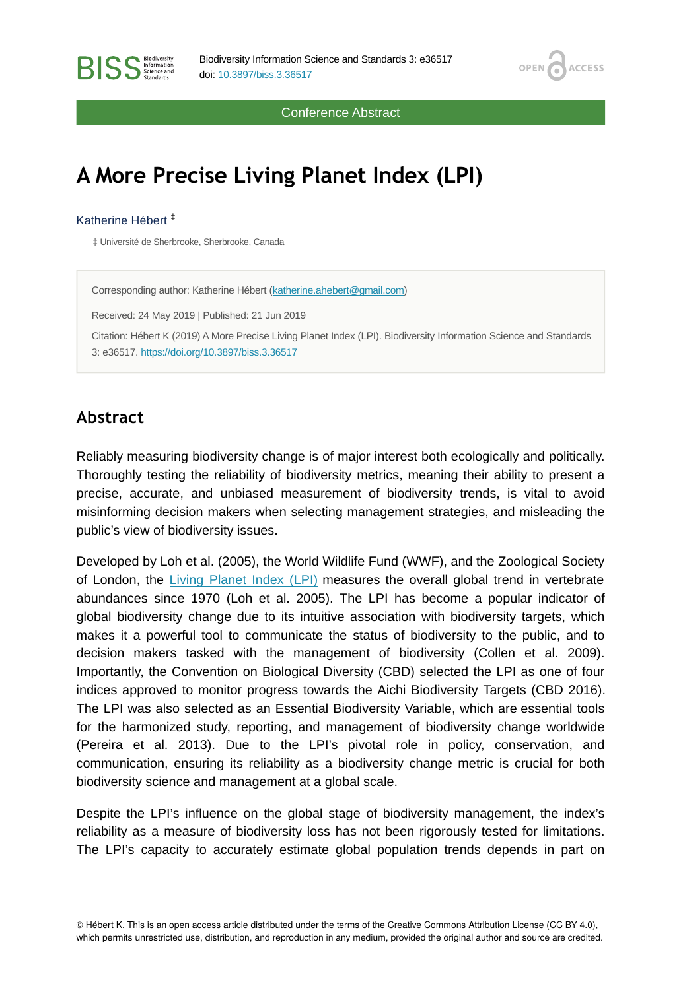Conference Abstract

OPEN<sub>6</sub>

**ACCESS** 

# **A More Precise Living Planet Index (LPI)**

#### Katherine Hébert ‡

**RISS** Steince and

‡ Université de Sherbrooke, Sherbrooke, Canada

Corresponding author: Katherine Hébert [\(katherine.ahebert@gmail.com](mailto:katherine.ahebert@gmail.com)) Received: 24 May 2019 | Published: 21 Jun 2019 Citation: Hébert K (2019) A More Precise Living Planet Index (LPI). Biodiversity Information Science and Standards 3: e36517. <https://doi.org/10.3897/biss.3.36517>

## **Abstract**

Reliably measuring biodiversity change is of major interest both ecologically and politically. Thoroughly testing the reliability of biodiversity metrics, meaning their ability to present a precise, accurate, and unbiased measurement of biodiversity trends, is vital to avoid misinforming decision makers when selecting management strategies, and misleading the public's view of biodiversity issues.

Developed by Loh et al. (2005), the World Wildlife Fund (WWF), and the Zoological Society of London, the [Living Planet Index \(LPI\)](http://www.livingplanetindex.org/home/index) measures the overall global trend in vertebrate abundances since 1970 (Loh et al. 2005). The LPI has become a popular indicator of global biodiversity change due to its intuitive association with biodiversity targets, which makes it a powerful tool to communicate the status of biodiversity to the public, and to decision makers tasked with the management of biodiversity (Collen et al. 2009). Importantly, the Convention on Biological Diversity (CBD) selected the LPI as one of four indices approved to monitor progress towards the Aichi Biodiversity Targets (CBD 2016). The LPI was also selected as an Essential Biodiversity Variable, which are essential tools for the harmonized study, reporting, and management of biodiversity change worldwide (Pereira et al. 2013). Due to the LPI's pivotal role in policy, conservation, and communication, ensuring its reliability as a biodiversity change metric is crucial for both biodiversity science and management at a global scale.

Despite the LPI's influence on the global stage of biodiversity management, the index's reliability as a measure of biodiversity loss has not been rigorously tested for limitations. The LPI's capacity to accurately estimate global population trends depends in part on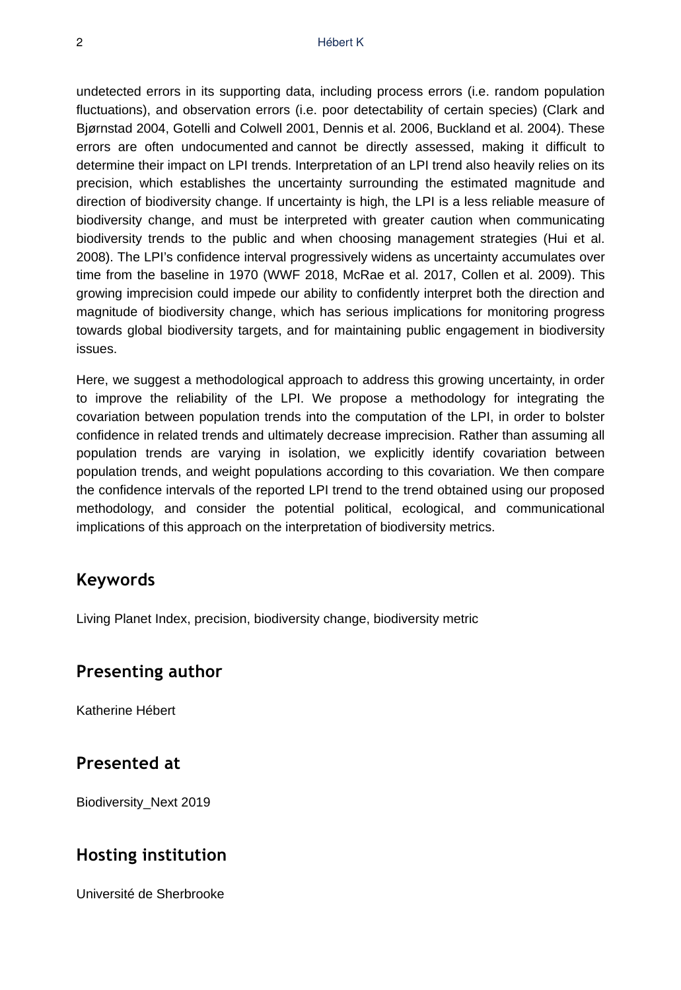undetected errors in its supporting data, including process errors (i.e. random population fluctuations), and observation errors (i.e. poor detectability of certain species) (Clark and Bjørnstad 2004, Gotelli and Colwell 2001, Dennis et al. 2006, Buckland et al. 2004). These errors are often undocumented and cannot be directly assessed, making it difficult to determine their impact on LPI trends. Interpretation of an LPI trend also heavily relies on its precision, which establishes the uncertainty surrounding the estimated magnitude and direction of biodiversity change. If uncertainty is high, the LPI is a less reliable measure of biodiversity change, and must be interpreted with greater caution when communicating biodiversity trends to the public and when choosing management strategies (Hui et al. 2008). The LPI's confidence interval progressively widens as uncertainty accumulates over time from the baseline in 1970 (WWF 2018, McRae et al. 2017, Collen et al. 2009). This growing imprecision could impede our ability to confidently interpret both the direction and magnitude of biodiversity change, which has serious implications for monitoring progress towards global biodiversity targets, and for maintaining public engagement in biodiversity issues.

Here, we suggest a methodological approach to address this growing uncertainty, in order to improve the reliability of the LPI. We propose a methodology for integrating the covariation between population trends into the computation of the LPI, in order to bolster confidence in related trends and ultimately decrease imprecision. Rather than assuming all population trends are varying in isolation, we explicitly identify covariation between population trends, and weight populations according to this covariation. We then compare the confidence intervals of the reported LPI trend to the trend obtained using our proposed methodology, and consider the potential political, ecological, and communicational implications of this approach on the interpretation of biodiversity metrics.

#### **Keywords**

Living Planet Index, precision, biodiversity change, biodiversity metric

#### **Presenting author**

Katherine Hébert

### **Presented at**

Biodiversity\_Next 2019

### **Hosting institution**

Université de Sherbrooke